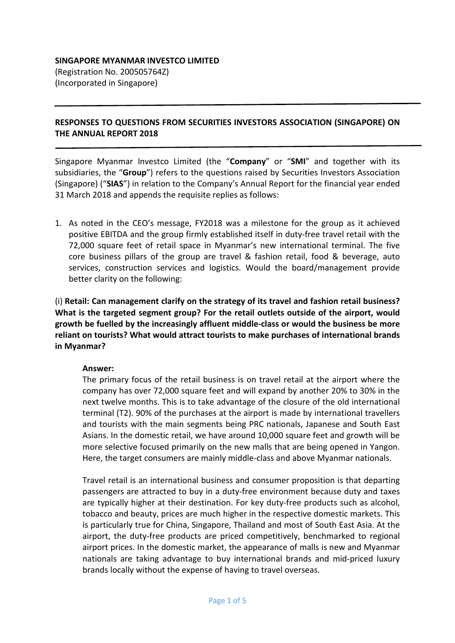### **SINGAPORE MYANMAR INVESTCO LIMITED**

(Registration No. 200505764Z) (Incorporated in Singapore)

# **RESPONSES TO QUESTIONS FROM SECURITIES INVESTORS ASSOCIATION (SINGAPORE) ON THE ANNUAL REPORT 2018**

Singapore Myanmar Investco Limited (the "**Company**" or "**SMI**" and together with its subsidiaries, the "**Group**") refers to the questions raised by Securities Investors Association (Singapore) ("**SIAS**") in relation to the Company's Annual Report for the financial year ended 31 March 2018 and appends the requisite replies as follows:

1. As noted in the CEO's message, FY2018 was a milestone for the group as it achieved positive EBITDA and the group firmly established itself in duty-free travel retail with the 72,000 square feet of retail space in Myanmar's new international terminal. The five core business pillars of the group are travel & fashion retail, food & beverage, auto services, construction services and logistics. Would the board/management provide better clarity on the following:

(i) **Retail: Can management clarify on the strategy of its travel and fashion retail business? What is the targeted segment group? For the retail outlets outside of the airport, would growth be fuelled by the increasingly affluent middle-class or would the business be more reliant on tourists? What would attract tourists to make purchases of international brands in Myanmar?** 

### **Answer:**

The primary focus of the retail business is on travel retail at the airport where the company has over 72,000 square feet and will expand by another 20% to 30% in the next twelve months. This is to take advantage of the closure of the old international terminal (T2). 90% of the purchases at the airport is made by international travellers and tourists with the main segments being PRC nationals, Japanese and South East Asians. In the domestic retail, we have around 10,000 square feet and growth will be more selective focused primarily on the new malls that are being opened in Yangon. Here, the target consumers are mainly middle-class and above Myanmar nationals.

Travel retail is an international business and consumer proposition is that departing passengers are attracted to buy in a duty-free environment because duty and taxes are typically higher at their destination. For key duty-free products such as alcohol, tobacco and beauty, prices are much higher in the respective domestic markets. This is particularly true for China, Singapore, Thailand and most of South East Asia. At the airport, the duty-free products are priced competitively, benchmarked to regional airport prices. In the domestic market, the appearance of malls is new and Myanmar nationals are taking advantage to buy international brands and mid-priced luxury brands locally without the expense of having to travel overseas.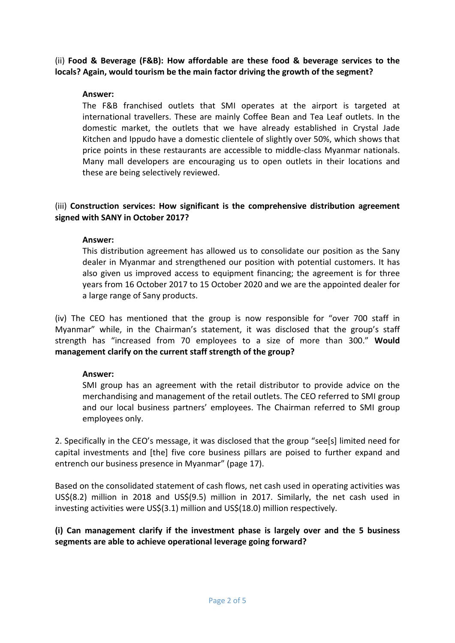# (ii) **Food & Beverage (F&B): How affordable are these food & beverage services to the locals? Again, would tourism be the main factor driving the growth of the segment?**

## **Answer:**

The F&B franchised outlets that SMI operates at the airport is targeted at international travellers. These are mainly Coffee Bean and Tea Leaf outlets. In the domestic market, the outlets that we have already established in Crystal Jade Kitchen and Ippudo have a domestic clientele of slightly over 50%, which shows that price points in these restaurants are accessible to middle-class Myanmar nationals. Many mall developers are encouraging us to open outlets in their locations and these are being selectively reviewed.

# (iii) **Construction services: How significant is the comprehensive distribution agreement signed with SANY in October 2017?**

### **Answer:**

This distribution agreement has allowed us to consolidate our position as the Sany dealer in Myanmar and strengthened our position with potential customers. It has also given us improved access to equipment financing; the agreement is for three years from 16 October 2017 to 15 October 2020 and we are the appointed dealer for a large range of Sany products.

(iv) The CEO has mentioned that the group is now responsible for "over 700 staff in Myanmar" while, in the Chairman's statement, it was disclosed that the group's staff strength has "increased from 70 employees to a size of more than 300." **Would management clarify on the current staff strength of the group?** 

### **Answer:**

SMI group has an agreement with the retail distributor to provide advice on the merchandising and management of the retail outlets. The CEO referred to SMI group and our local business partners' employees. The Chairman referred to SMI group employees only.

2. Specifically in the CEO's message, it was disclosed that the group "see[s] limited need for capital investments and [the] five core business pillars are poised to further expand and entrench our business presence in Myanmar" (page 17).

Based on the consolidated statement of cash flows, net cash used in operating activities was US\$(8.2) million in 2018 and US\$(9.5) million in 2017. Similarly, the net cash used in investing activities were US\$(3.1) million and US\$(18.0) million respectively.

# **(i) Can management clarify if the investment phase is largely over and the 5 business segments are able to achieve operational leverage going forward?**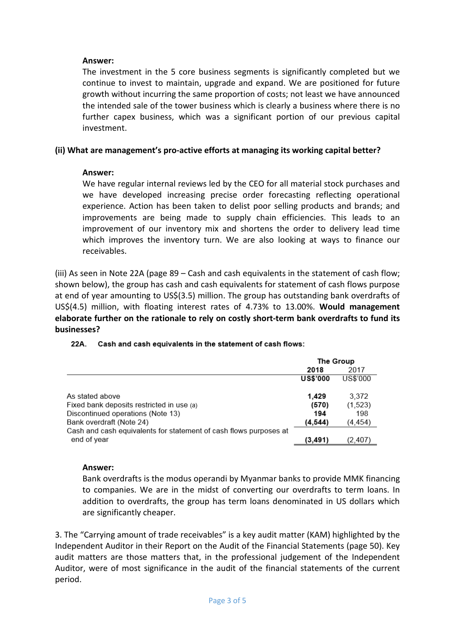### **Answer:**

The investment in the 5 core business segments is significantly completed but we continue to invest to maintain, upgrade and expand. We are positioned for future growth without incurring the same proportion of costs; not least we have announced the intended sale of the tower business which is clearly a business where there is no further capex business, which was a significant portion of our previous capital investment.

## **(ii) What are management's pro-active efforts at managing its working capital better?**

## **Answer:**

We have regular internal reviews led by the CEO for all material stock purchases and we have developed increasing precise order forecasting reflecting operational experience. Action has been taken to delist poor selling products and brands; and improvements are being made to supply chain efficiencies. This leads to an improvement of our inventory mix and shortens the order to delivery lead time which improves the inventory turn. We are also looking at ways to finance our receivables.

(iii) As seen in Note 22A (page 89 – Cash and cash equivalents in the statement of cash flow; shown below), the group has cash and cash equivalents for statement of cash flows purpose at end of year amounting to US\$(3.5) million. The group has outstanding bank overdrafts of US\$(4.5) million, with floating interest rates of 4.73% to 13.00%. **Would management elaborate further on the rationale to rely on costly short-term bank overdrafts to fund its businesses?** 

|                                                                   | The Group       |          |
|-------------------------------------------------------------------|-----------------|----------|
|                                                                   | 2018            | 2017     |
|                                                                   | <b>US\$'000</b> | US\$'000 |
| As stated above                                                   | 1.429           | 3.372    |
| Fixed bank deposits restricted in use (a)                         | (570)           | (1,523)  |
| Discontinued operations (Note 13)                                 | 194             | 198      |
| Bank overdraft (Note 24)                                          | (4, 544)        | (4.454)  |
| Cash and cash equivalents for statement of cash flows purposes at |                 |          |
| end of year                                                       | (3.491)         | (2.407)  |

# 22A. Cash and cash equivalents in the statement of cash flows:

#### **Answer:**

Bank overdrafts is the modus operandi by Myanmar banks to provide MMK financing to companies. We are in the midst of converting our overdrafts to term loans. In addition to overdrafts, the group has term loans denominated in US dollars which are significantly cheaper.

3. The "Carrying amount of trade receivables" is a key audit matter (KAM) highlighted by the Independent Auditor in their Report on the Audit of the Financial Statements (page 50). Key audit matters are those matters that, in the professional judgement of the Independent Auditor, were of most significance in the audit of the financial statements of the current period.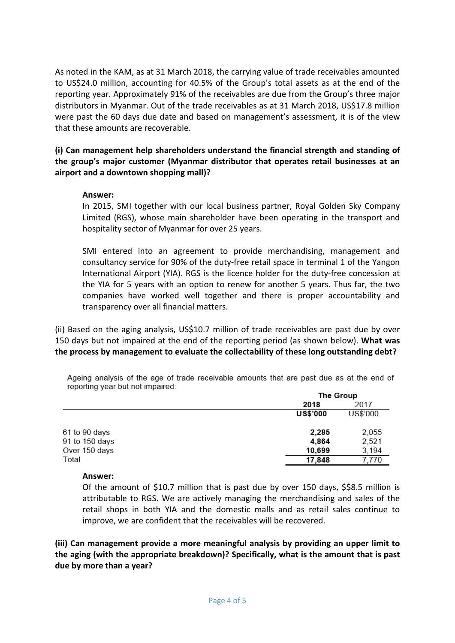As noted in the KAM, as at 31 March 2018, the carrying value of trade receivables amounted to US\$24.0 million, accounting for 40.5% of the Group's total assets as at the end of the reporting year. Approximately 91% of the receivables are due from the Group's three major distributors in Myanmar. Out of the trade receivables as at 31 March 2018, US\$17.8 million were past the 60 days due date and based on management's assessment, it is of the view that these amounts are recoverable.

# **(i) Can management help shareholders understand the financial strength and standing of the group's major customer (Myanmar distributor that operates retail businesses at an airport and a downtown shopping mall)?**

### **Answer:**

In 2015, SMI together with our local business partner, Royal Golden Sky Company Limited (RGS), whose main shareholder have been operating in the transport and hospitality sector of Myanmar for over 25 years.

SMI entered into an agreement to provide merchandising, management and consultancy service for 90% of the duty-free retail space in terminal 1 of the Yangon International Airport (YIA). RGS is the licence holder for the duty-free concession at the YIA for 5 years with an option to renew for another 5 years. Thus far, the two companies have worked well together and there is proper accountability and transparency over all financial matters.

(ii) Based on the aging analysis, US\$10.7 million of trade receivables are past due by over 150 days but not impaired at the end of the reporting period (as shown below). **What was the process by management to evaluate the collectability of these long outstanding debt?**

|                |                 | The Group |  |
|----------------|-----------------|-----------|--|
|                | 2018            | 2017      |  |
|                | <b>US\$'000</b> | US\$'000  |  |
| 61 to 90 days  | 2,285           | 2,055     |  |
| 91 to 150 days | 4,864           | 2,521     |  |
| Over 150 days  | 10,699          | 3,194     |  |
| Total          | 17,848          | 7,770     |  |

Ageing analysis of the age of trade receivable amounts that are past due as at the end of reporting year but not impaired:

#### **Answer:**

Of the amount of \$10.7 million that is past due by over 150 days, \$\$8.5 million is attributable to RGS. We are actively managing the merchandising and sales of the retail shops in both YIA and the domestic malls and as retail sales continue to improve, we are confident that the receivables will be recovered.

**(iii) Can management provide a more meaningful analysis by providing an upper limit to the aging (with the appropriate breakdown)? Specifically, what is the amount that is past due by more than a year?**